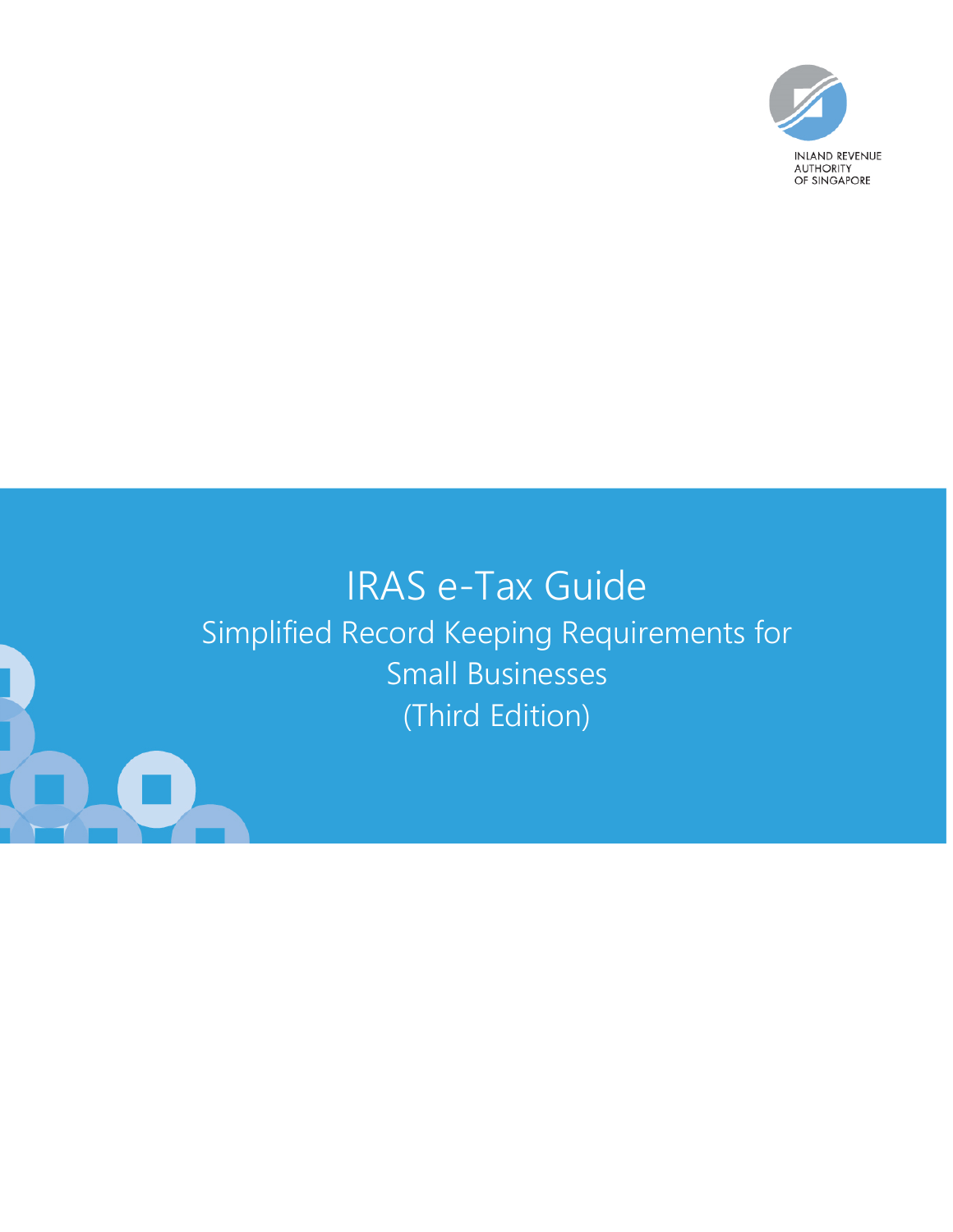

# IRAS e-Tax Guide Simplified Record Keeping Requirements for Small Businesses (Third Edition)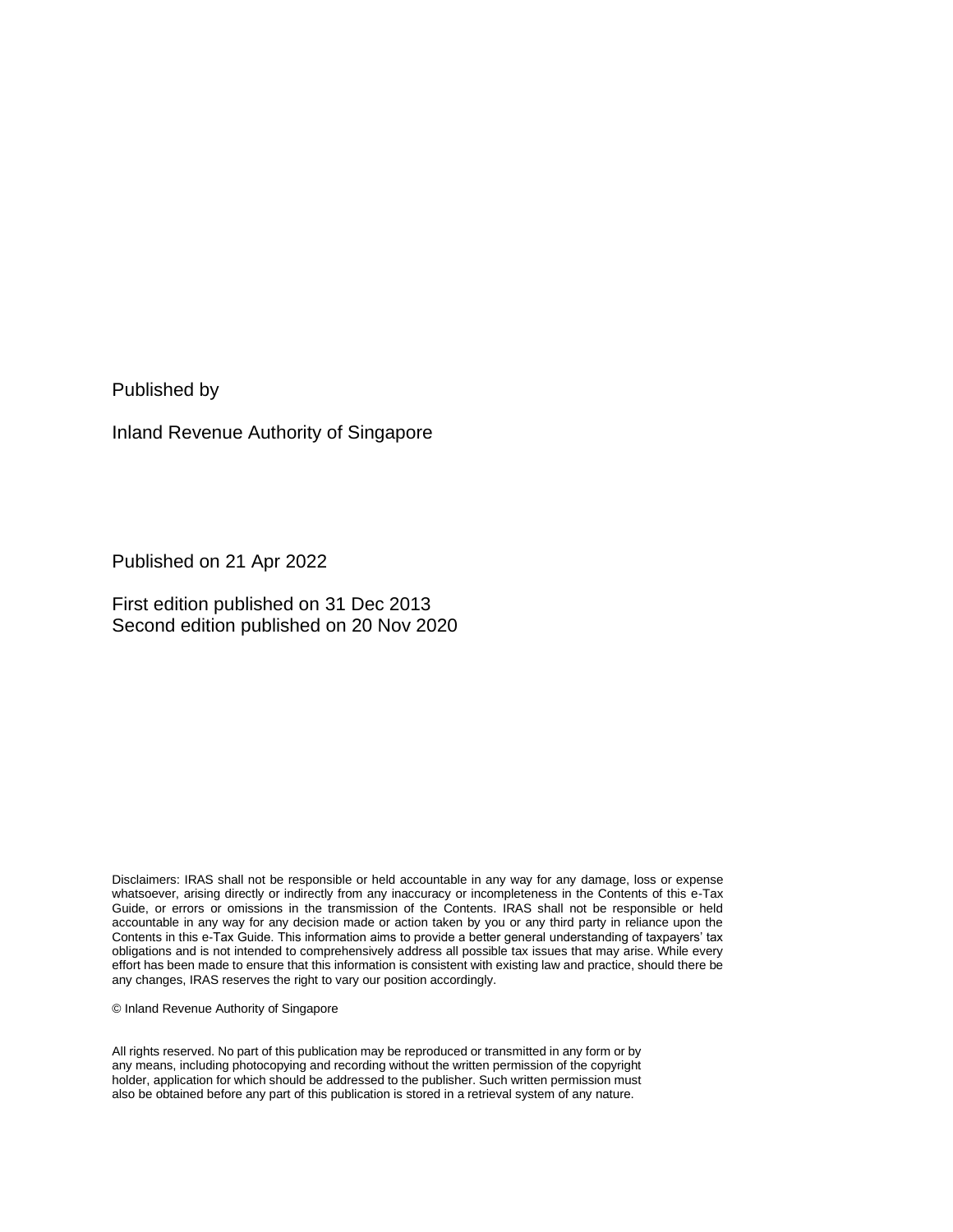Published by

Inland Revenue Authority of Singapore

Published on 21 Apr 2022

First edition published on 31 Dec 2013 Second edition published on 20 Nov 2020

Disclaimers: IRAS shall not be responsible or held accountable in any way for any damage, loss or expense whatsoever, arising directly or indirectly from any inaccuracy or incompleteness in the Contents of this e-Tax Guide, or errors or omissions in the transmission of the Contents. IRAS shall not be responsible or held accountable in any way for any decision made or action taken by you or any third party in reliance upon the Contents in this e-Tax Guide. This information aims to provide a better general understanding of taxpayers' tax obligations and is not intended to comprehensively address all possible tax issues that may arise. While every effort has been made to ensure that this information is consistent with existing law and practice, should there be any changes, IRAS reserves the right to vary our position accordingly.

© Inland Revenue Authority of Singapore

All rights reserved. No part of this publication may be reproduced or transmitted in any form or by any means, including photocopying and recording without the written permission of the copyright holder, application for which should be addressed to the publisher. Such written permission must also be obtained before any part of this publication is stored in a retrieval system of any nature.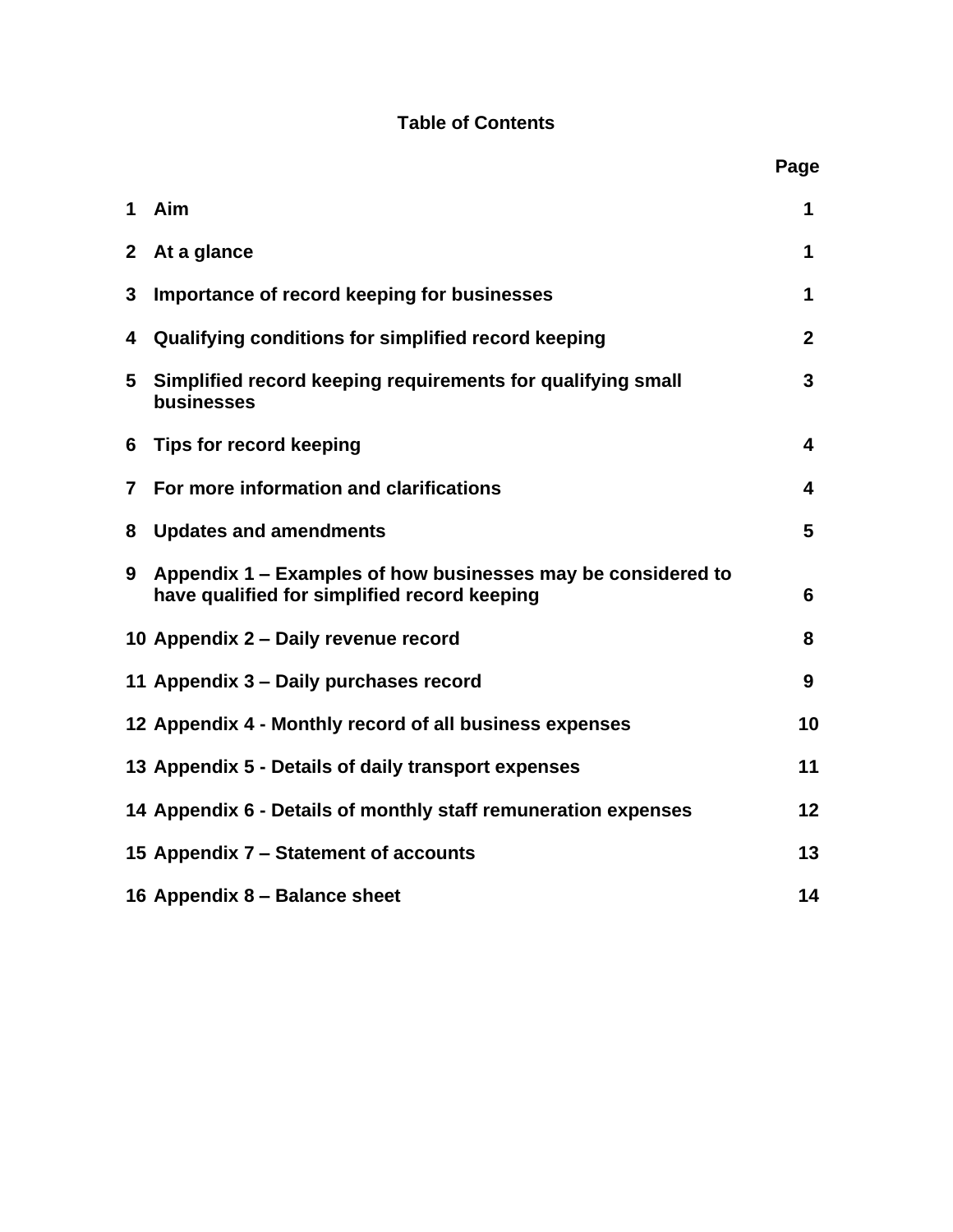### **Table of Contents**

|                |                                                                                                              | Page         |
|----------------|--------------------------------------------------------------------------------------------------------------|--------------|
| $\mathbf 1$    | Aim                                                                                                          | 1            |
| $\mathbf{2}$   | At a glance                                                                                                  | 1            |
| 3              | Importance of record keeping for businesses                                                                  | 1            |
| 4              | Qualifying conditions for simplified record keeping                                                          | $\mathbf{2}$ |
| 5              | Simplified record keeping requirements for qualifying small<br>businesses                                    | 3            |
| 6              | Tips for record keeping                                                                                      | 4            |
| $\overline{7}$ | For more information and clarifications                                                                      | 4            |
| 8              | <b>Updates and amendments</b>                                                                                | 5            |
| 9              | Appendix 1 – Examples of how businesses may be considered to<br>have qualified for simplified record keeping | 6            |
|                | 10 Appendix 2 - Daily revenue record                                                                         | 8            |
|                | 11 Appendix 3 – Daily purchases record                                                                       | 9            |
|                | 12 Appendix 4 - Monthly record of all business expenses                                                      | 10           |
|                | 13 Appendix 5 - Details of daily transport expenses                                                          | 11           |
|                | 14 Appendix 6 - Details of monthly staff remuneration expenses                                               | 12           |
|                | 15 Appendix 7 – Statement of accounts                                                                        | 13           |
|                | 16 Appendix 8 - Balance sheet                                                                                | 14           |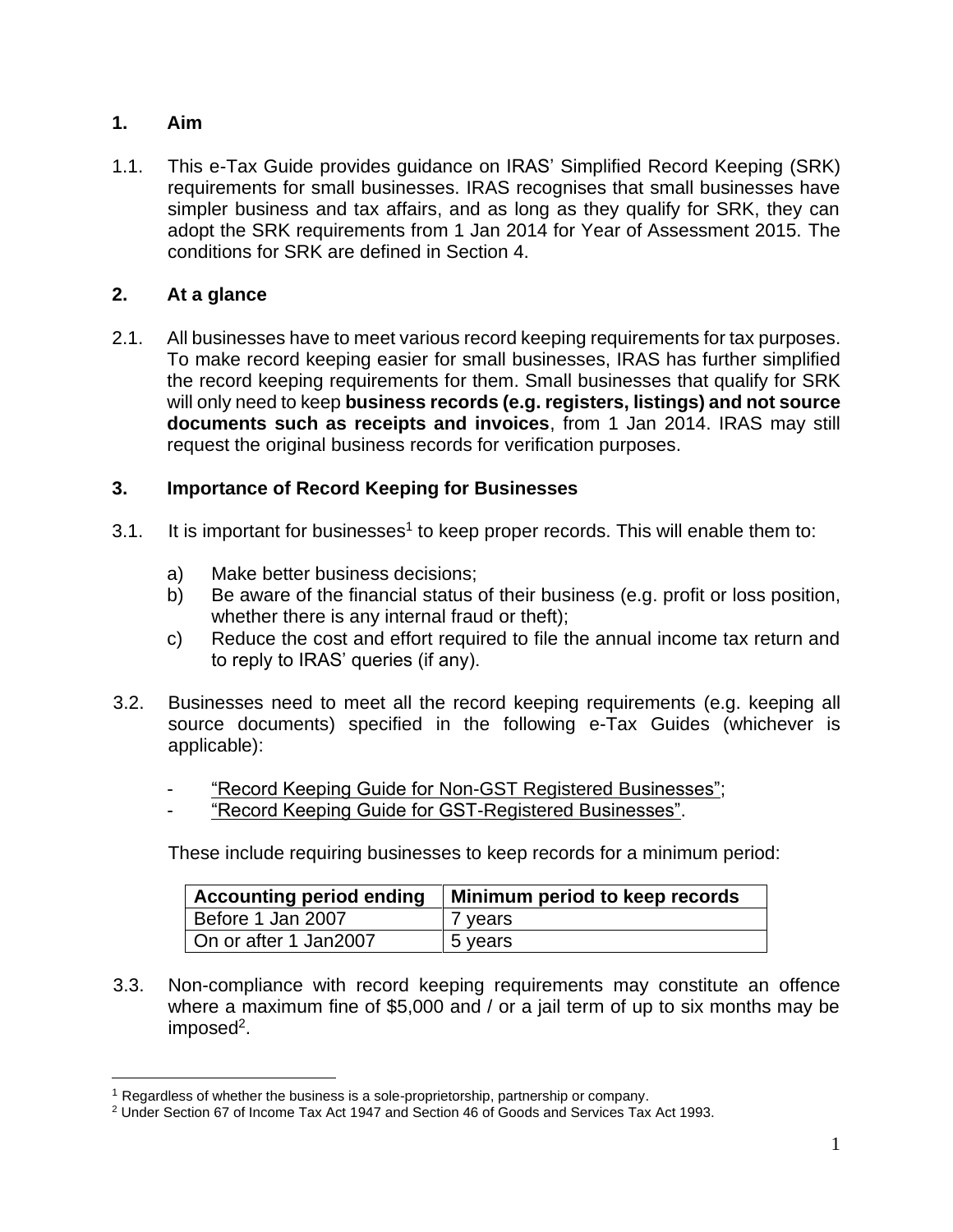#### **1. Aim**

1.1. This e-Tax Guide provides guidance on IRAS' Simplified Record Keeping (SRK) requirements for small businesses. IRAS recognises that small businesses have simpler business and tax affairs, and as long as they qualify for SRK, they can adopt the SRK requirements from 1 Jan 2014 for Year of Assessment 2015. The conditions for SRK are defined in Section 4.

#### **2. At a glance**

2.1. All businesses have to meet various record keeping requirements for tax purposes. To make record keeping easier for small businesses, IRAS has further simplified the record keeping requirements for them. Small businesses that qualify for SRK will only need to keep **business records (e.g. registers, listings) and not source documents such as receipts and invoices**, from 1 Jan 2014. IRAS may still request the original business records for verification purposes.

#### **3. Importance of Record Keeping for Businesses**

- 3.1. It is important for businesses<sup>1</sup> to keep proper records. This will enable them to:
	- a) Make better business decisions;
	- b) Be aware of the financial status of their business (e.g. profit or loss position, whether there is any internal fraud or theft);
	- c) Reduce the cost and effort required to file the annual income tax return and to reply to IRAS' queries (if any).
- 3.2. Businesses need to meet all the record keeping requirements (e.g. keeping all source documents) specified in the following e-Tax Guides (whichever is applicable):
	- ["Record Keeping Guide for Non-GST](https://www.iras.gov.sg/irashome/uploadedFiles/IRASHome/e-Tax_Guides/etaxguide_Record%20Keeping%20Guide%20for%20Non%20GST-registered%20Businesses_Revised%20Jan17.pdf) Registered Businesses";
	- ["Record Keeping Guide for GST-Registered Businesses".](https://www.iras.gov.sg/irashome/uploadedFiles/IRASHome/e-Tax_Guides/etaxguide_Record%20Keeping%20Guide%20for%20GST-registered%20%20Businesses_Revised%20Jan17.pdf)

These include requiring businesses to keep records for a minimum period:

|                       | Accounting period ending   Minimum period to keep records |
|-----------------------|-----------------------------------------------------------|
| Before 1 Jan 2007     | 7 years                                                   |
| On or after 1 Jan2007 | 5 years                                                   |

3.3. Non-compliance with record keeping requirements may constitute an offence where a maximum fine of \$5,000 and / or a jail term of up to six months may be imposed<sup>2</sup>.

<sup>&</sup>lt;sup>1</sup> Regardless of whether the business is a sole-proprietorship, partnership or company.

<sup>2</sup> Under Section 67 of Income Tax Act 1947 and Section 46 of Goods and Services Tax Act 1993.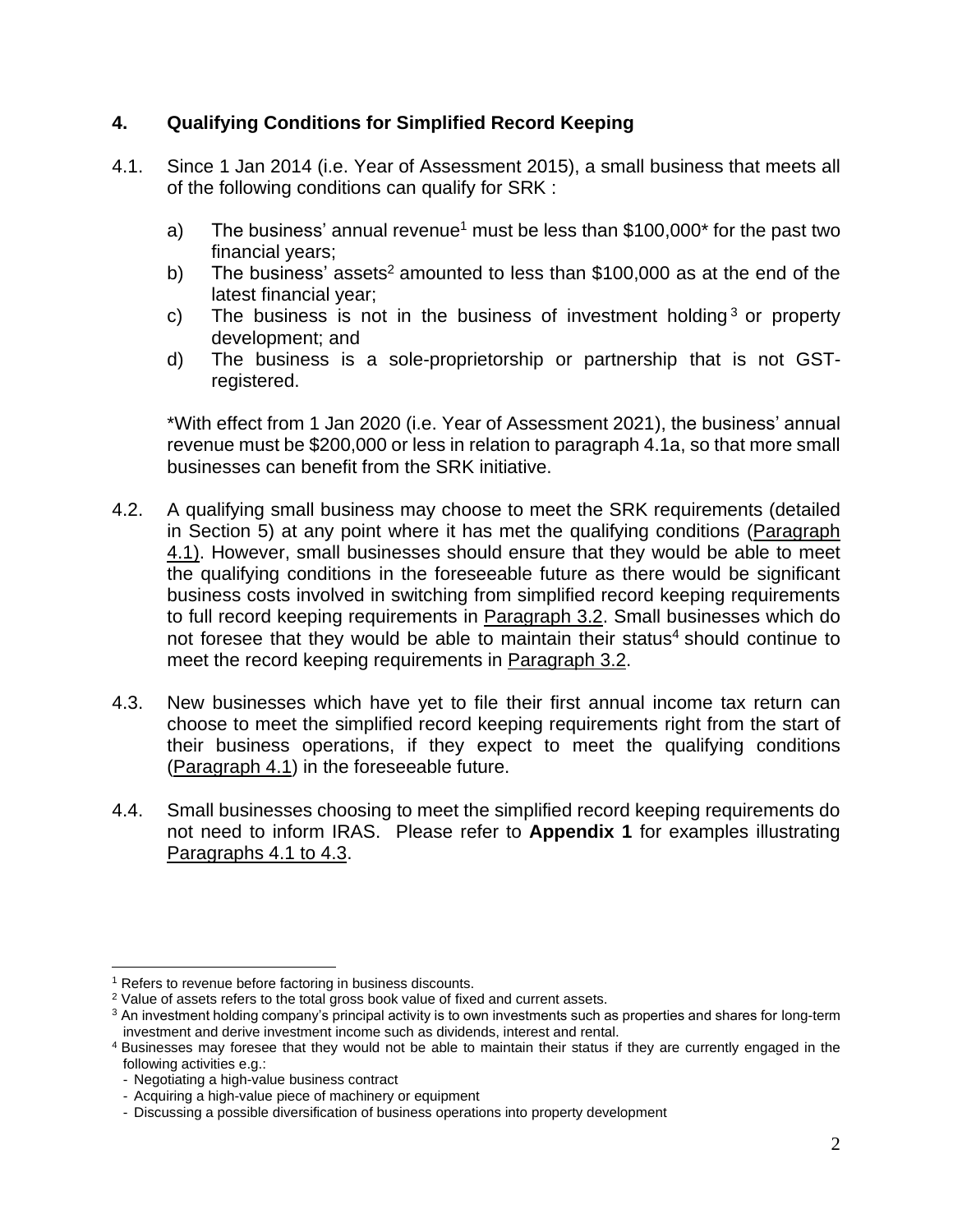#### **4. Qualifying Conditions for Simplified Record Keeping**

- 4.1. Since 1 Jan 2014 (i.e. Year of Assessment 2015), a small business that meets all of the following conditions can qualify for SRK :
	- a) The business' annual revenue<sup>1</sup> must be less than  $$100,000^*$  for the past two financial years;
	- b) The business' assets<sup>2</sup> amounted to less than  $$100,000$  as at the end of the latest financial year;
	- c) The business is not in the business of investment holding  $3$  or property development; and
	- d) The business is a sole-proprietorship or partnership that is not GSTregistered.

\*With effect from 1 Jan 2020 (i.e. Year of Assessment 2021), the business' annual revenue must be \$200,000 or less in relation to paragraph 4.1a, so that more small businesses can benefit from the SRK initiative.

- 4.2. A qualifying small business may choose to meet the SRK requirements (detailed in Section 5) at any point where it has met the qualifying conditions (Paragraph 4.1). However, small businesses should ensure that they would be able to meet the qualifying conditions in the foreseeable future as there would be significant business costs involved in switching from simplified record keeping requirements to full record keeping requirements in Paragraph 3.2. Small businesses which do not foresee that they would be able to maintain their status<sup>4</sup> should continue to meet the record keeping requirements in Paragraph 3.2.
- 4.3. New businesses which have yet to file their first annual income tax return can choose to meet the simplified record keeping requirements right from the start of their business operations, if they expect to meet the qualifying conditions (Paragraph 4.1) in the foreseeable future.
- 4.4. Small businesses choosing to meet the simplified record keeping requirements do not need to inform IRAS. Please refer to **Appendix 1** for examples illustrating Paragraphs 4.1 to 4.3.

<sup>&</sup>lt;sup>1</sup> Refers to revenue before factoring in business discounts.

<sup>&</sup>lt;sup>2</sup> Value of assets refers to the total gross book value of fixed and current assets.

<sup>&</sup>lt;sup>3</sup> An investment holding company's principal activity is to own investments such as properties and shares for long-term investment and derive investment income such as dividends, interest and rental.

<sup>4</sup> Businesses may foresee that they would not be able to maintain their status if they are currently engaged in the following activities e.g.:

<sup>-</sup> Negotiating a high-value business contract

<sup>-</sup> Acquiring a high-value piece of machinery or equipment

<sup>-</sup> Discussing a possible diversification of business operations into property development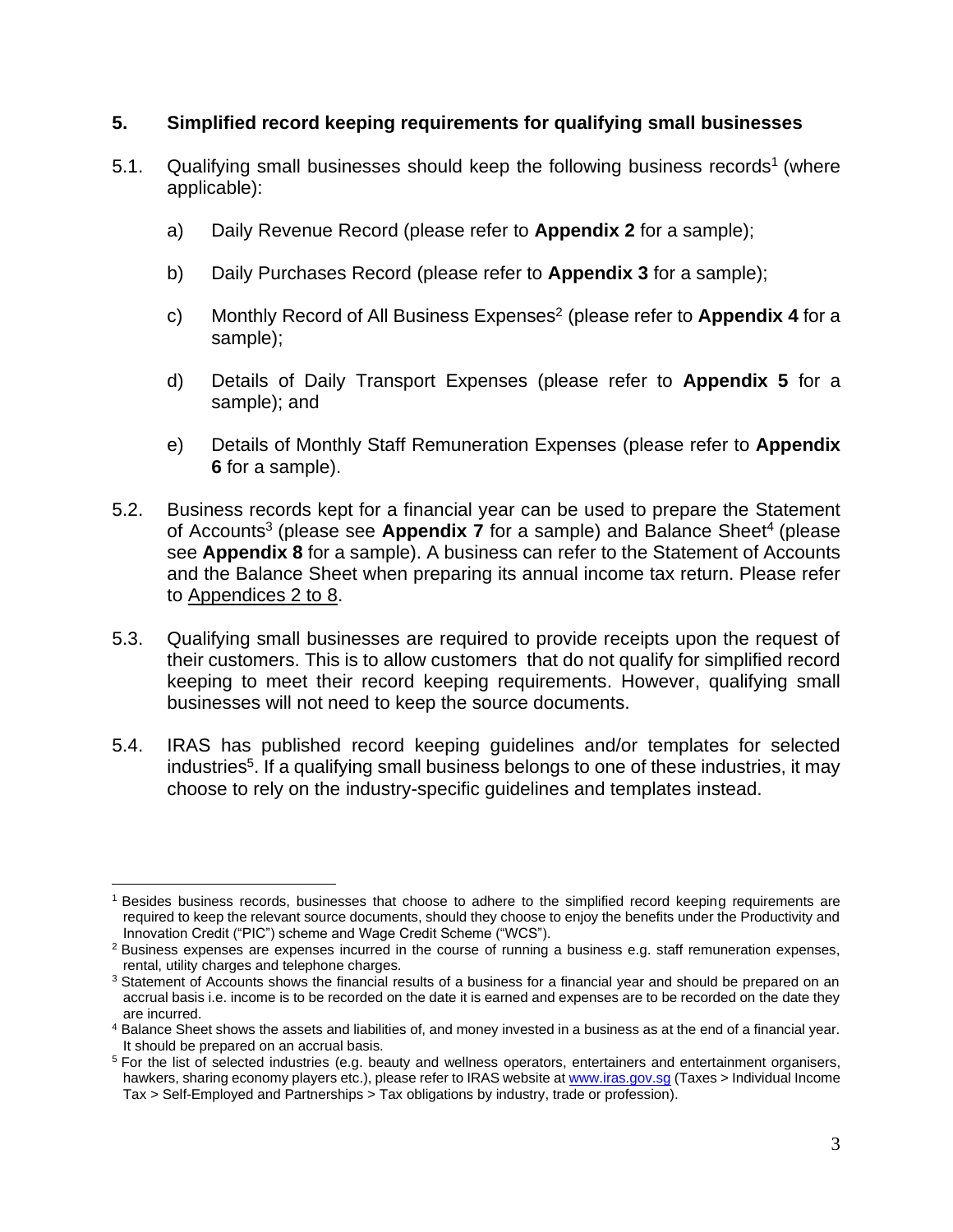#### **5. Simplified record keeping requirements for qualifying small businesses**

- 5.1. Qualifying small businesses should keep the following business records<sup>1</sup> (where applicable):
	- a) Daily Revenue Record (please refer to **Appendix 2** for a sample);
	- b) Daily Purchases Record (please refer to **Appendix 3** for a sample);
	- c) Monthly Record of All Business Expenses<sup>2</sup> (please refer to **Appendix 4** for a sample);
	- d) Details of Daily Transport Expenses (please refer to **Appendix 5** for a sample); and
	- e) Details of Monthly Staff Remuneration Expenses (please refer to **Appendix 6** for a sample).
- 5.2. Business records kept for a financial year can be used to prepare the Statement of Accounts<sup>3</sup> (please see Appendix 7 for a sample) and Balance Sheet<sup>4</sup> (please see **Appendix 8** for a sample). A business can refer to the Statement of Accounts and the Balance Sheet when preparing its annual income tax return. Please refer to [Appendices 2 to 8.](http://www.iras.gov.sg/irashome/uploadedFiles/Businesses/For_sole-proprietors_self-employed/sRK%20Appendices%202%20to%208.zip)
- 5.3. Qualifying small businesses are required to provide receipts upon the request of their customers. This is to allow customers that do not qualify for simplified record keeping to meet their record keeping requirements. However, qualifying small businesses will not need to keep the source documents.
- 5.4. IRAS has published record keeping guidelines and/or templates for selected industries<sup>5</sup>. If a qualifying small business belongs to one of these industries, it may choose to rely on the industry-specific guidelines and templates instead.

<sup>&</sup>lt;sup>1</sup> Besides business records, businesses that choose to adhere to the simplified record keeping requirements are required to keep the relevant source documents, should they choose to enjoy the benefits under the Productivity and Innovation Credit ("PIC") scheme and Wage Credit Scheme ("WCS").

<sup>2</sup> Business expenses are expenses incurred in the course of running a business e.g. staff remuneration expenses, rental, utility charges and telephone charges.

<sup>&</sup>lt;sup>3</sup> Statement of Accounts shows the financial results of a business for a financial year and should be prepared on an accrual basis i.e. income is to be recorded on the date it is earned and expenses are to be recorded on the date they are incurred.

<sup>4</sup> Balance Sheet shows the assets and liabilities of, and money invested in a business as at the end of a financial year. It should be prepared on an accrual basis.

<sup>5</sup> For the list of selected industries (e.g. beauty and wellness operators, entertainers and entertainment organisers, hawkers, sharing economy players etc.), please refer to IRAS website a[t www.iras.gov.sg](file:///C:/Users/inlcwtb/Documents/Documents/CSID/Record%20Keeping/Record%20Keeping%20Review/www.iras.gov.sg) (Taxes > Individual Income Tax > Self-Employed and Partnerships > Tax obligations by industry, trade or profession).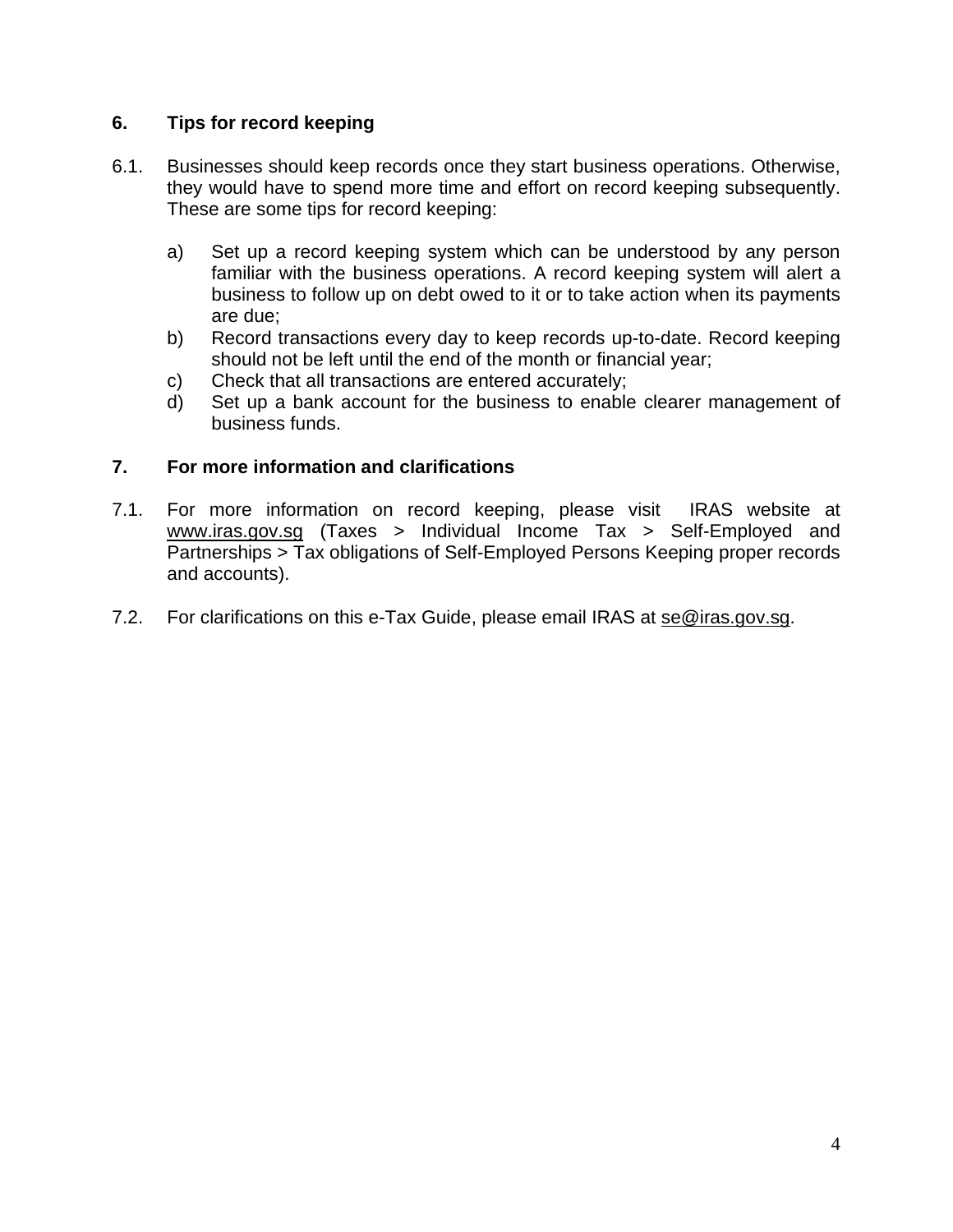#### **6. Tips for record keeping**

- 6.1. Businesses should keep records once they start business operations. Otherwise, they would have to spend more time and effort on record keeping subsequently. These are some tips for record keeping:
	- a) Set up a record keeping system which can be understood by any person familiar with the business operations. A record keeping system will alert a business to follow up on debt owed to it or to take action when its payments are due;
	- b) Record transactions every day to keep records up-to-date. Record keeping should not be left until the end of the month or financial year;
	- c) Check that all transactions are entered accurately;
	- d) Set up a bank account for the business to enable clearer management of business funds.

#### **7. For more information and clarifications**

- 7.1. For more information on record keeping, please visit IRAS website at [www.iras.gov.sg](file:///C:/Users/inlcwtb/Documents/Documents/CSID/Record%20Keeping/Record%20Keeping%20Review/www.iras.gov.sg) (Taxes > Individual Income Tax > Self-Employed and Partnerships > Tax obligations of Self-Employed Persons Keeping proper records and accounts).
- 7.2. For clarifications on this e-Tax Guide, please email IRAS at [se@iras.gov.sg](mailto:se@iras.gov.sg).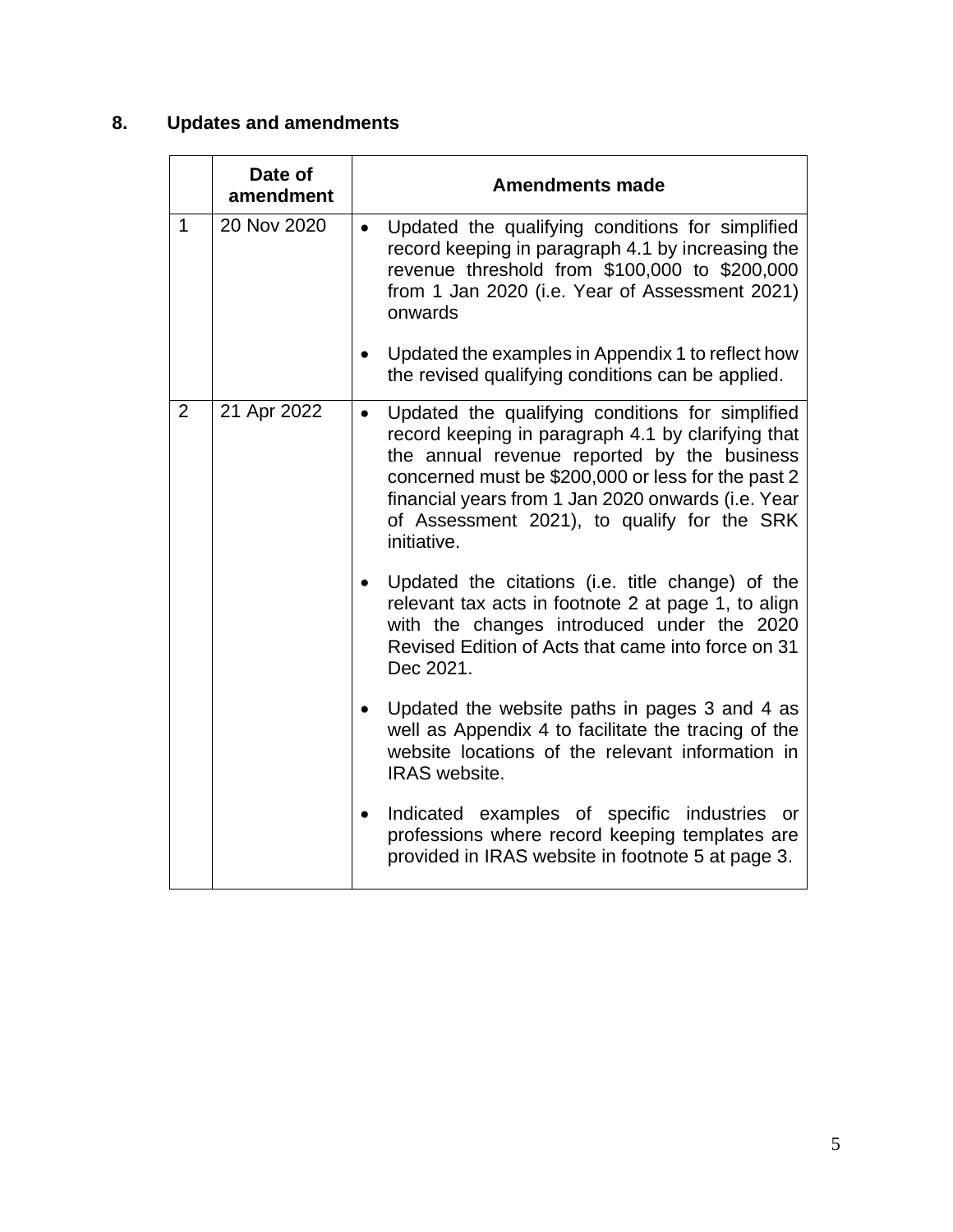## **8. Updates and amendments**

|                | Date of<br>amendment | <b>Amendments made</b>                                                                                                                                                                                                                                                                                                                       |
|----------------|----------------------|----------------------------------------------------------------------------------------------------------------------------------------------------------------------------------------------------------------------------------------------------------------------------------------------------------------------------------------------|
| $\mathbf{1}$   | 20 Nov 2020          | Updated the qualifying conditions for simplified<br>$\bullet$<br>record keeping in paragraph 4.1 by increasing the<br>revenue threshold from \$100,000 to \$200,000<br>from 1 Jan 2020 (i.e. Year of Assessment 2021)<br>onwards                                                                                                             |
|                |                      | Updated the examples in Appendix 1 to reflect how<br>the revised qualifying conditions can be applied.                                                                                                                                                                                                                                       |
| $\overline{2}$ | 21 Apr 2022          | Updated the qualifying conditions for simplified<br>$\bullet$<br>record keeping in paragraph 4.1 by clarifying that<br>the annual revenue reported by the business<br>concerned must be \$200,000 or less for the past 2<br>financial years from 1 Jan 2020 onwards (i.e. Year<br>of Assessment 2021), to qualify for the SRK<br>initiative. |
|                |                      | Updated the citations (i.e. title change) of the<br>relevant tax acts in footnote 2 at page 1, to align<br>with the changes introduced under the 2020<br>Revised Edition of Acts that came into force on 31<br>Dec 2021.                                                                                                                     |
|                |                      | Updated the website paths in pages 3 and 4 as<br>well as Appendix 4 to facilitate the tracing of the<br>website locations of the relevant information in<br><b>IRAS</b> website.                                                                                                                                                             |
|                |                      | Indicated examples of specific industries or<br>professions where record keeping templates are<br>provided in IRAS website in footnote 5 at page 3.                                                                                                                                                                                          |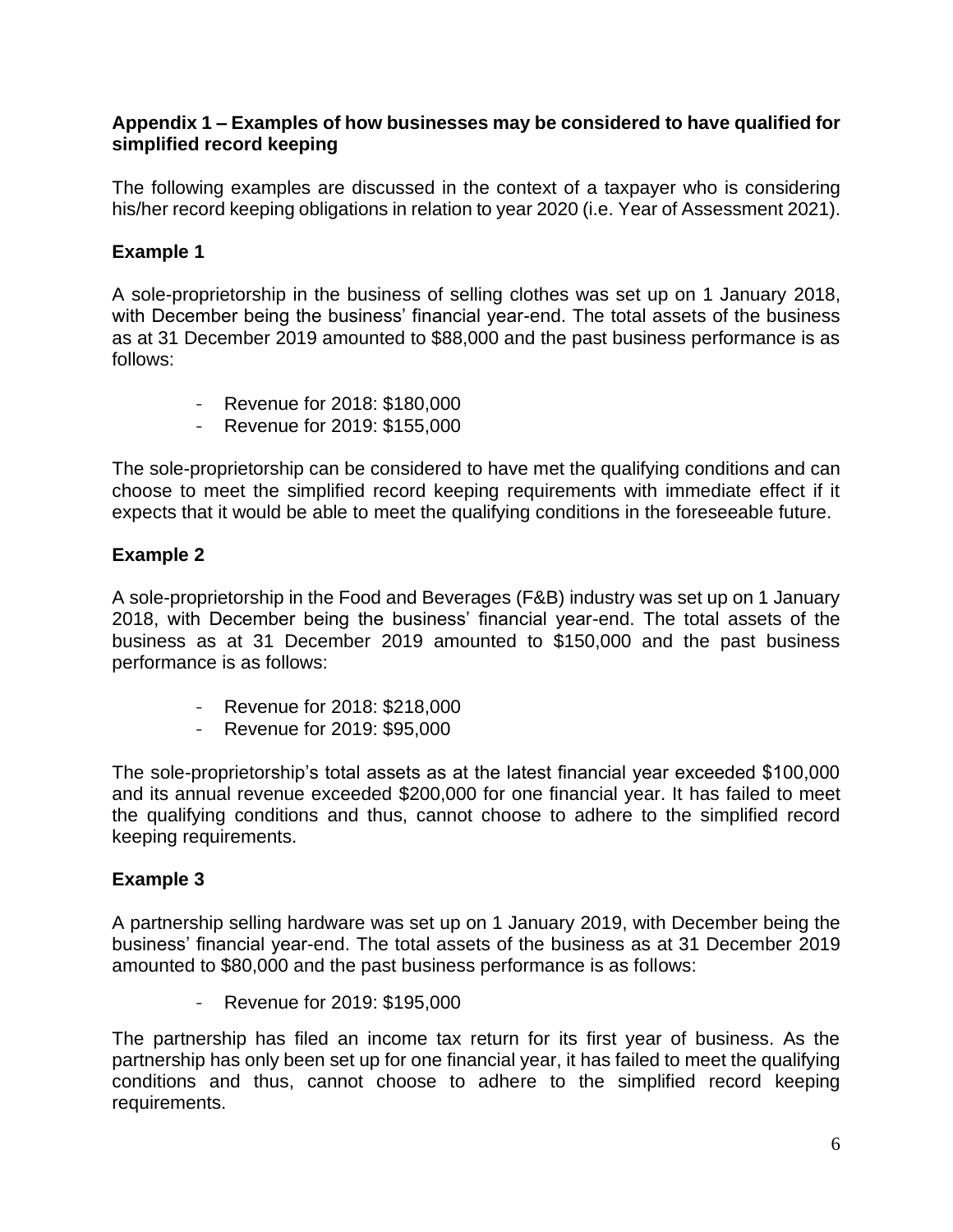#### **Appendix 1 – Examples of how businesses may be considered to have qualified for simplified record keeping**

The following examples are discussed in the context of a taxpayer who is considering his/her record keeping obligations in relation to year 2020 (i.e. Year of Assessment 2021).

#### **Example 1**

A sole-proprietorship in the business of selling clothes was set up on 1 January 2018, with December being the business' financial year-end. The total assets of the business as at 31 December 2019 amounted to \$88,000 and the past business performance is as follows:

- Revenue for 2018: \$180,000
- Revenue for 2019: \$155,000

The sole-proprietorship can be considered to have met the qualifying conditions and can choose to meet the simplified record keeping requirements with immediate effect if it expects that it would be able to meet the qualifying conditions in the foreseeable future.

#### **Example 2**

A sole-proprietorship in the Food and Beverages (F&B) industry was set up on 1 January 2018, with December being the business' financial year-end. The total assets of the business as at 31 December 2019 amounted to \$150,000 and the past business performance is as follows:

- Revenue for 2018: \$218,000
- Revenue for 2019: \$95,000

The sole-proprietorship's total assets as at the latest financial year exceeded \$100,000 and its annual revenue exceeded \$200,000 for one financial year. It has failed to meet the qualifying conditions and thus, cannot choose to adhere to the simplified record keeping requirements.

#### **Example 3**

A partnership selling hardware was set up on 1 January 2019, with December being the business' financial year-end. The total assets of the business as at 31 December 2019 amounted to \$80,000 and the past business performance is as follows:

- Revenue for 2019: \$195,000

The partnership has filed an income tax return for its first year of business. As the partnership has only been set up for one financial year, it has failed to meet the qualifying conditions and thus, cannot choose to adhere to the simplified record keeping requirements.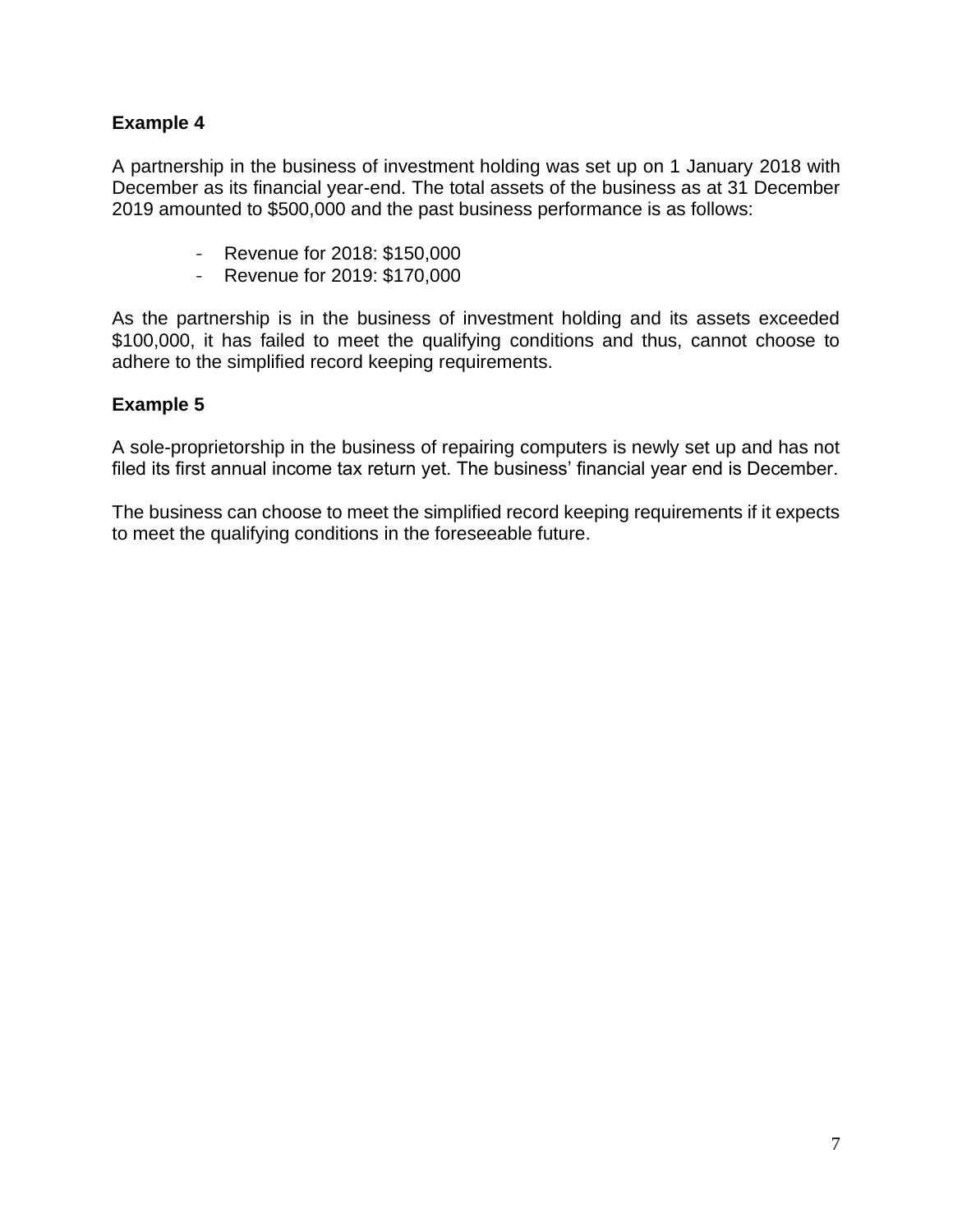#### **Example 4**

A partnership in the business of investment holding was set up on 1 January 2018 with December as its financial year-end. The total assets of the business as at 31 December 2019 amounted to \$500,000 and the past business performance is as follows:

- Revenue for 2018: \$150,000
- Revenue for 2019: \$170,000

As the partnership is in the business of investment holding and its assets exceeded \$100,000, it has failed to meet the qualifying conditions and thus, cannot choose to adhere to the simplified record keeping requirements.

#### **Example 5**

A sole-proprietorship in the business of repairing computers is newly set up and has not filed its first annual income tax return yet. The business' financial year end is December.

The business can choose to meet the simplified record keeping requirements if it expects to meet the qualifying conditions in the foreseeable future.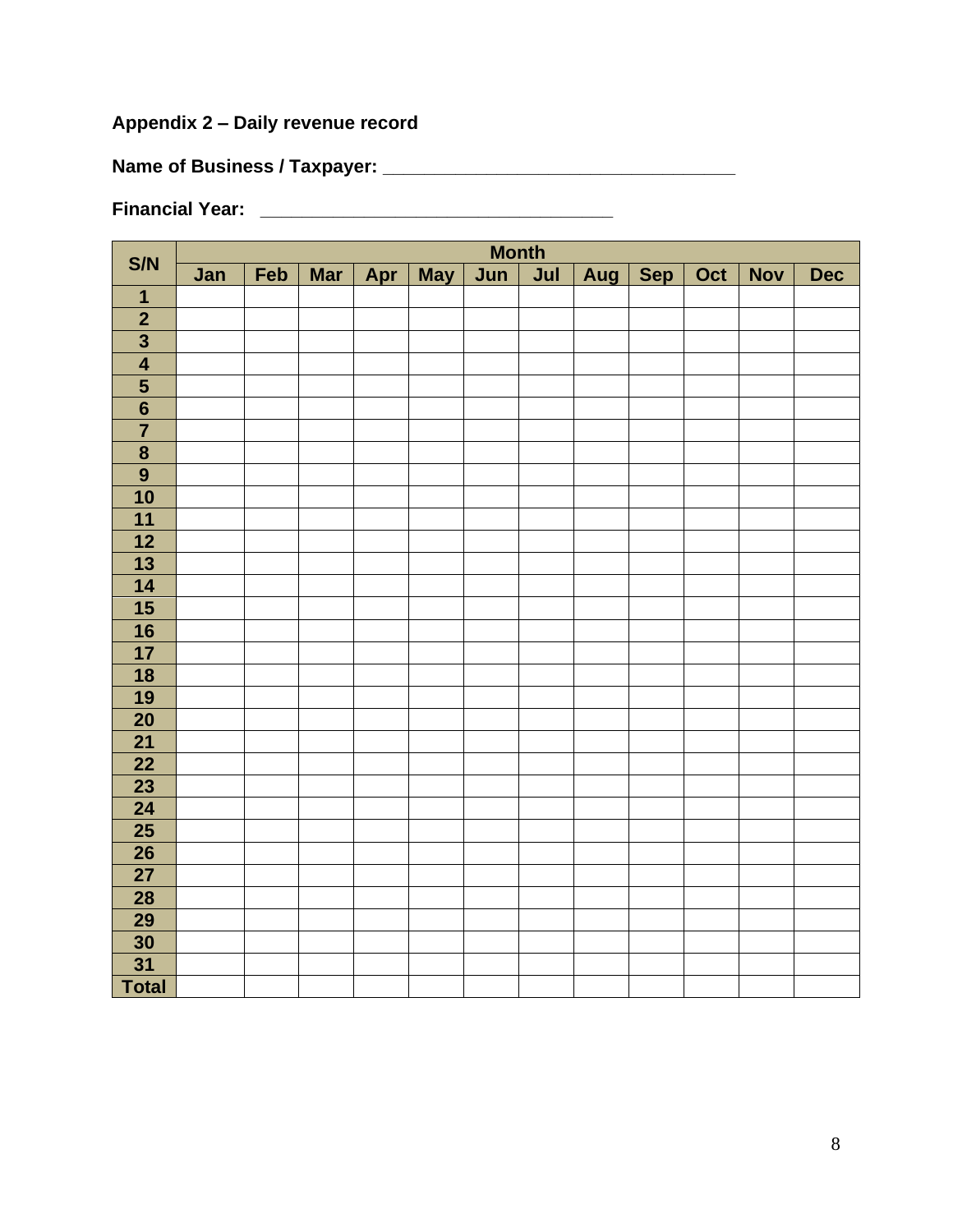## **Appendix 2 – Daily revenue record**

**Name of Business / Taxpayer: \_\_\_\_\_\_\_\_\_\_\_\_\_\_\_\_\_\_\_\_\_\_\_\_\_\_\_\_\_\_\_\_\_\_**

**Financial Year: \_\_\_\_\_\_\_\_\_\_\_\_\_\_\_\_\_\_\_\_\_\_\_\_\_\_\_\_\_\_\_\_\_\_**

|                                                               | <b>Month</b> |     |            |  |           |     |     |     |     |     |            |            |
|---------------------------------------------------------------|--------------|-----|------------|--|-----------|-----|-----|-----|-----|-----|------------|------------|
| S/N                                                           | Jan          | Feb | <b>Mar</b> |  | Apr   May | Jun | Jul | Aug | Sep | Oct | <b>Nov</b> | <b>Dec</b> |
| $\overline{\mathbf{1}}$                                       |              |     |            |  |           |     |     |     |     |     |            |            |
| $\frac{2}{3}$                                                 |              |     |            |  |           |     |     |     |     |     |            |            |
|                                                               |              |     |            |  |           |     |     |     |     |     |            |            |
| $\overline{\mathbf{4}}$                                       |              |     |            |  |           |     |     |     |     |     |            |            |
| $\frac{5}{6}$ $\frac{6}{7}$                                   |              |     |            |  |           |     |     |     |     |     |            |            |
|                                                               |              |     |            |  |           |     |     |     |     |     |            |            |
|                                                               |              |     |            |  |           |     |     |     |     |     |            |            |
| $\overline{\mathbf{8}}$                                       |              |     |            |  |           |     |     |     |     |     |            |            |
| $\overline{9}$                                                |              |     |            |  |           |     |     |     |     |     |            |            |
| $\overline{10}$                                               |              |     |            |  |           |     |     |     |     |     |            |            |
| $\boxed{11}$                                                  |              |     |            |  |           |     |     |     |     |     |            |            |
| $\overline{12}$                                               |              |     |            |  |           |     |     |     |     |     |            |            |
| $\overline{\mathbf{13}}$                                      |              |     |            |  |           |     |     |     |     |     |            |            |
| $\overline{14}$                                               |              |     |            |  |           |     |     |     |     |     |            |            |
| 15                                                            |              |     |            |  |           |     |     |     |     |     |            |            |
| $\frac{16}{17}$                                               |              |     |            |  |           |     |     |     |     |     |            |            |
|                                                               |              |     |            |  |           |     |     |     |     |     |            |            |
| <u>18</u>                                                     |              |     |            |  |           |     |     |     |     |     |            |            |
| $\overline{19}$                                               |              |     |            |  |           |     |     |     |     |     |            |            |
| $\overline{20}$                                               |              |     |            |  |           |     |     |     |     |     |            |            |
|                                                               |              |     |            |  |           |     |     |     |     |     |            |            |
| $\frac{21}{22}$                                               |              |     |            |  |           |     |     |     |     |     |            |            |
| $\begin{array}{ c c }\n\hline\n23 \\ \hline\n24\n\end{array}$ |              |     |            |  |           |     |     |     |     |     |            |            |
|                                                               |              |     |            |  |           |     |     |     |     |     |            |            |
| $\overline{25}$                                               |              |     |            |  |           |     |     |     |     |     |            |            |
| $\overline{26}$                                               |              |     |            |  |           |     |     |     |     |     |            |            |
|                                                               |              |     |            |  |           |     |     |     |     |     |            |            |
| $\frac{27}{28}$                                               |              |     |            |  |           |     |     |     |     |     |            |            |
| $\overline{29}$                                               |              |     |            |  |           |     |     |     |     |     |            |            |
| 30                                                            |              |     |            |  |           |     |     |     |     |     |            |            |
| $\overline{31}$                                               |              |     |            |  |           |     |     |     |     |     |            |            |
| <b>Total</b>                                                  |              |     |            |  |           |     |     |     |     |     |            |            |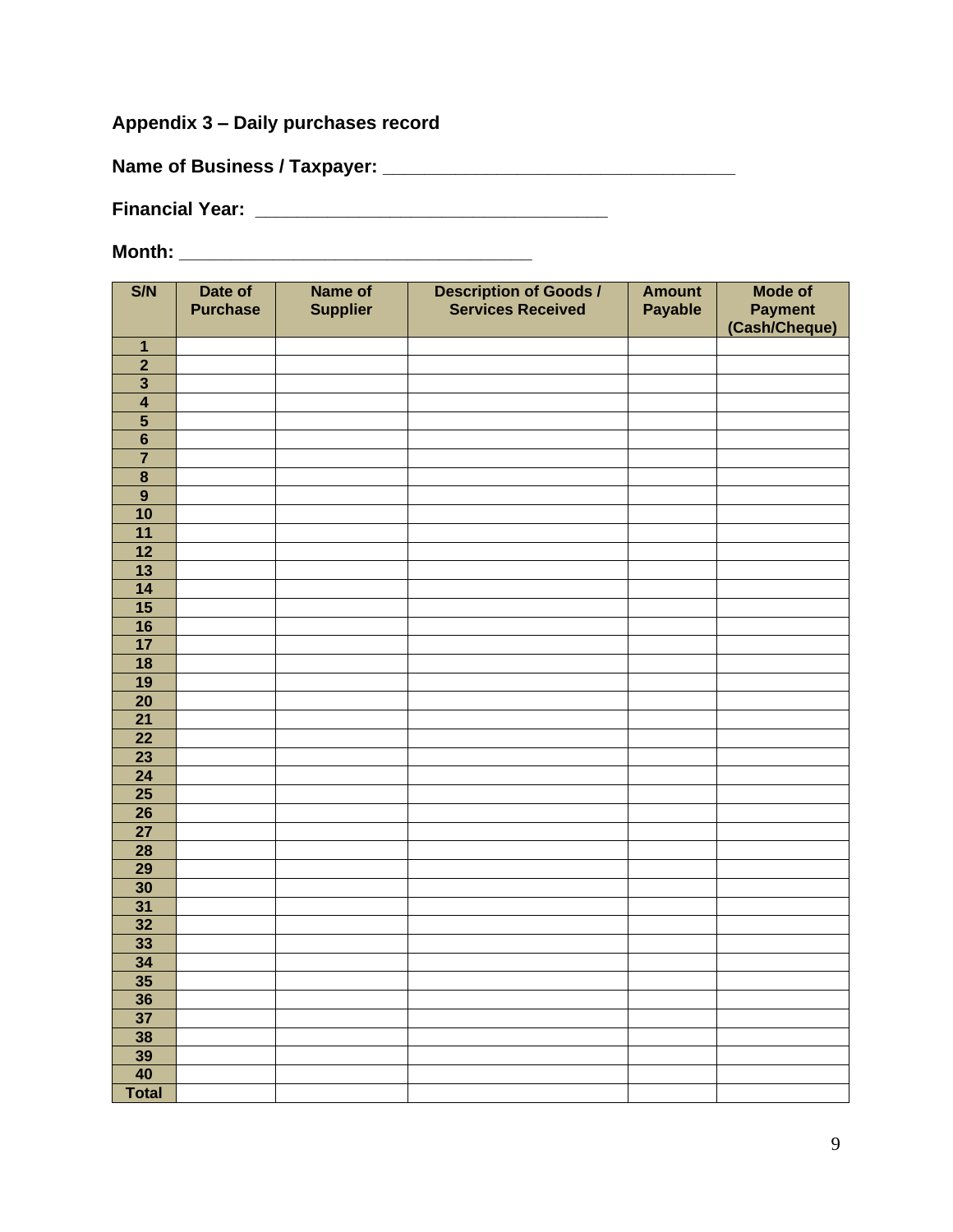#### **Appendix 3 – Daily purchases record**

**Name of Business / Taxpayer: \_\_\_\_\_\_\_\_\_\_\_\_\_\_\_\_\_\_\_\_\_\_\_\_\_\_\_\_\_\_\_\_\_\_**

**Financial Year: \_\_\_\_\_\_\_\_\_\_\_\_\_\_\_\_\_\_\_\_\_\_\_\_\_\_\_\_\_\_\_\_\_\_**

| S/N                              | Date of         | Name of         | <b>Description of Goods /<br/>Services Received</b> | <b>Amount</b>  | <b>Mode of</b> |
|----------------------------------|-----------------|-----------------|-----------------------------------------------------|----------------|----------------|
|                                  | <b>Purchase</b> | <b>Supplier</b> |                                                     | <b>Payable</b> | <b>Payment</b> |
|                                  |                 |                 |                                                     |                | (Cash/Cheque)  |
| $\mathbf{1}$                     |                 |                 |                                                     |                |                |
| $\overline{2}$                   |                 |                 |                                                     |                |                |
| $\overline{\mathbf{3}}$          |                 |                 |                                                     |                |                |
| $\overline{4}$                   |                 |                 |                                                     |                |                |
| $\overline{\mathbf{5}}$          |                 |                 |                                                     |                |                |
| $\overline{6}$<br>$\overline{7}$ |                 |                 |                                                     |                |                |
| $\overline{\mathbf{8}}$          |                 |                 |                                                     |                |                |
| $\overline{9}$                   |                 |                 |                                                     |                |                |
| 10                               |                 |                 |                                                     |                |                |
| 11                               |                 |                 |                                                     |                |                |
| 12                               |                 |                 |                                                     |                |                |
| $\overline{13}$                  |                 |                 |                                                     |                |                |
| 14                               |                 |                 |                                                     |                |                |
| 15                               |                 |                 |                                                     |                |                |
| 16                               |                 |                 |                                                     |                |                |
| 17                               |                 |                 |                                                     |                |                |
| 18                               |                 |                 |                                                     |                |                |
| 19                               |                 |                 |                                                     |                |                |
| $\overline{20}$                  |                 |                 |                                                     |                |                |
| $\overline{21}$                  |                 |                 |                                                     |                |                |
| 22                               |                 |                 |                                                     |                |                |
| 23                               |                 |                 |                                                     |                |                |
| $\overline{24}$                  |                 |                 |                                                     |                |                |
| 25                               |                 |                 |                                                     |                |                |
| $\overline{26}$                  |                 |                 |                                                     |                |                |
| $\overline{27}$                  |                 |                 |                                                     |                |                |
| $\overline{28}$                  |                 |                 |                                                     |                |                |
| $\overline{29}$                  |                 |                 |                                                     |                |                |
| $\overline{30}$                  |                 |                 |                                                     |                |                |
| $\overline{31}$                  |                 |                 |                                                     |                |                |
| $\overline{32}$                  |                 |                 |                                                     |                |                |
| $\overline{33}$                  |                 |                 |                                                     |                |                |
| $\overline{34}$                  |                 |                 |                                                     |                |                |
| 35                               |                 |                 |                                                     |                |                |
| 36                               |                 |                 |                                                     |                |                |
| $\overline{37}$                  |                 |                 |                                                     |                |                |
| 38                               |                 |                 |                                                     |                |                |
| 39                               |                 |                 |                                                     |                |                |
| 40                               |                 |                 |                                                     |                |                |
| <b>Total</b>                     |                 |                 |                                                     |                |                |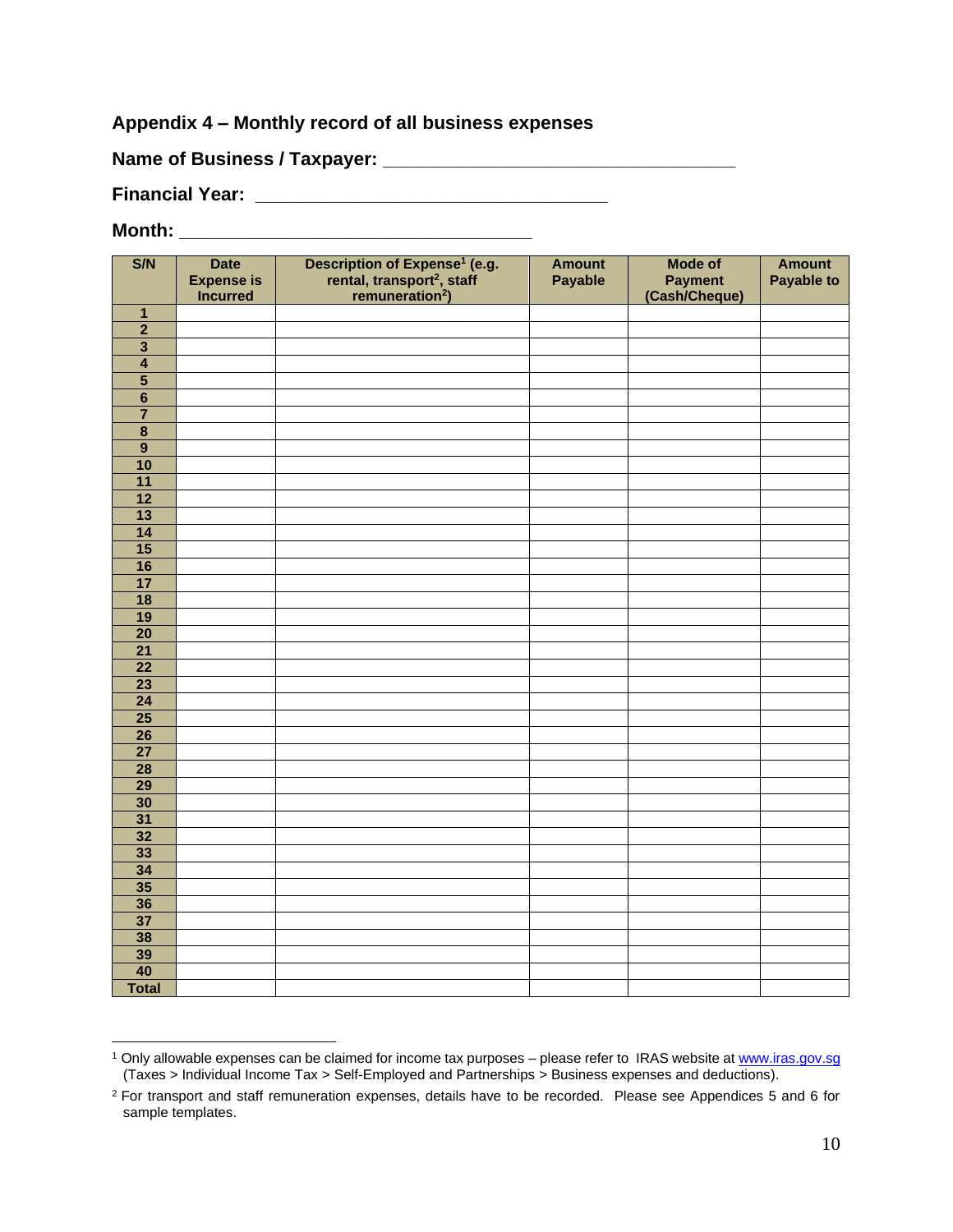#### **Appendix 4 – Monthly record of all business expenses**

| <b>Name of Business / Taxpayer:</b> |  |
|-------------------------------------|--|
|-------------------------------------|--|

**Financial Year: \_\_\_\_\_\_\_\_\_\_\_\_\_\_\_\_\_\_\_\_\_\_\_\_\_\_\_\_\_\_\_\_\_\_**

| S/N                     | <b>Date</b><br><b>Expense is</b><br><b>Incurred</b> | Description of Expense <sup>1</sup> (e.g.<br>rental, transport <sup>2</sup> , staff<br>remuneration <sup>2</sup> ) | <b>Amount</b><br><b>Payable</b> | <b>Mode of</b><br><b>Payment</b><br>(Cash/Cheque) | <b>Amount</b><br><b>Payable to</b> |
|-------------------------|-----------------------------------------------------|--------------------------------------------------------------------------------------------------------------------|---------------------------------|---------------------------------------------------|------------------------------------|
| $\mathbf{1}$            |                                                     |                                                                                                                    |                                 |                                                   |                                    |
| $\overline{2}$          |                                                     |                                                                                                                    |                                 |                                                   |                                    |
| $\overline{\mathbf{3}}$ |                                                     |                                                                                                                    |                                 |                                                   |                                    |
| $\overline{\mathbf{4}}$ |                                                     |                                                                                                                    |                                 |                                                   |                                    |
| $\overline{\mathbf{5}}$ |                                                     |                                                                                                                    |                                 |                                                   |                                    |
| $\overline{6}$          |                                                     |                                                                                                                    |                                 |                                                   |                                    |
| $\overline{\mathbf{7}}$ |                                                     |                                                                                                                    |                                 |                                                   |                                    |
| $\overline{\mathbf{8}}$ |                                                     |                                                                                                                    |                                 |                                                   |                                    |
| $\overline{9}$          |                                                     |                                                                                                                    |                                 |                                                   |                                    |
| 10                      |                                                     |                                                                                                                    |                                 |                                                   |                                    |
| 11                      |                                                     |                                                                                                                    |                                 |                                                   |                                    |
| $\overline{12}$         |                                                     |                                                                                                                    |                                 |                                                   |                                    |
| $\overline{13}$         |                                                     |                                                                                                                    |                                 |                                                   |                                    |
| 14                      |                                                     |                                                                                                                    |                                 |                                                   |                                    |
| $\overline{15}$         |                                                     |                                                                                                                    |                                 |                                                   |                                    |
| 16                      |                                                     |                                                                                                                    |                                 |                                                   |                                    |
| $\overline{17}$         |                                                     |                                                                                                                    |                                 |                                                   |                                    |
| 18                      |                                                     |                                                                                                                    |                                 |                                                   |                                    |
| $\overline{19}$         |                                                     |                                                                                                                    |                                 |                                                   |                                    |
| $\overline{20}$         |                                                     |                                                                                                                    |                                 |                                                   |                                    |
| $\overline{21}$         |                                                     |                                                                                                                    |                                 |                                                   |                                    |
| $\overline{22}$         |                                                     |                                                                                                                    |                                 |                                                   |                                    |
| $\overline{23}$         |                                                     |                                                                                                                    |                                 |                                                   |                                    |
| $\overline{24}$         |                                                     |                                                                                                                    |                                 |                                                   |                                    |
| $\overline{25}$         |                                                     |                                                                                                                    |                                 |                                                   |                                    |
| $\overline{26}$         |                                                     |                                                                                                                    |                                 |                                                   |                                    |
| $\overline{27}$         |                                                     |                                                                                                                    |                                 |                                                   |                                    |
| 28                      |                                                     |                                                                                                                    |                                 |                                                   |                                    |
| $\overline{29}$         |                                                     |                                                                                                                    |                                 |                                                   |                                    |
| 30                      |                                                     |                                                                                                                    |                                 |                                                   |                                    |
| $\overline{31}$         |                                                     |                                                                                                                    |                                 |                                                   |                                    |
| $\overline{32}$         |                                                     |                                                                                                                    |                                 |                                                   |                                    |
| 33                      |                                                     |                                                                                                                    |                                 |                                                   |                                    |
| $\overline{34}$         |                                                     |                                                                                                                    |                                 |                                                   |                                    |
| $\overline{35}$         |                                                     |                                                                                                                    |                                 |                                                   |                                    |
| 36                      |                                                     |                                                                                                                    |                                 |                                                   |                                    |
| $\overline{37}$         |                                                     |                                                                                                                    |                                 |                                                   |                                    |
| 38                      |                                                     |                                                                                                                    |                                 |                                                   |                                    |
| 39                      |                                                     |                                                                                                                    |                                 |                                                   |                                    |
| 40                      |                                                     |                                                                                                                    |                                 |                                                   |                                    |
| <b>Total</b>            |                                                     |                                                                                                                    |                                 |                                                   |                                    |

<sup>&</sup>lt;sup>1</sup> Only allowable expenses can be claimed for income tax purposes – please refer to IRAS website a[t www.iras.gov.sg](http://www.iras.gov.sg/) (Taxes > Individual Income Tax > Self-Employed and Partnerships > Business expenses and deductions).

 For transport and staff remuneration expenses, details have to be recorded. Please see Appendices 5 and 6 for sample templates.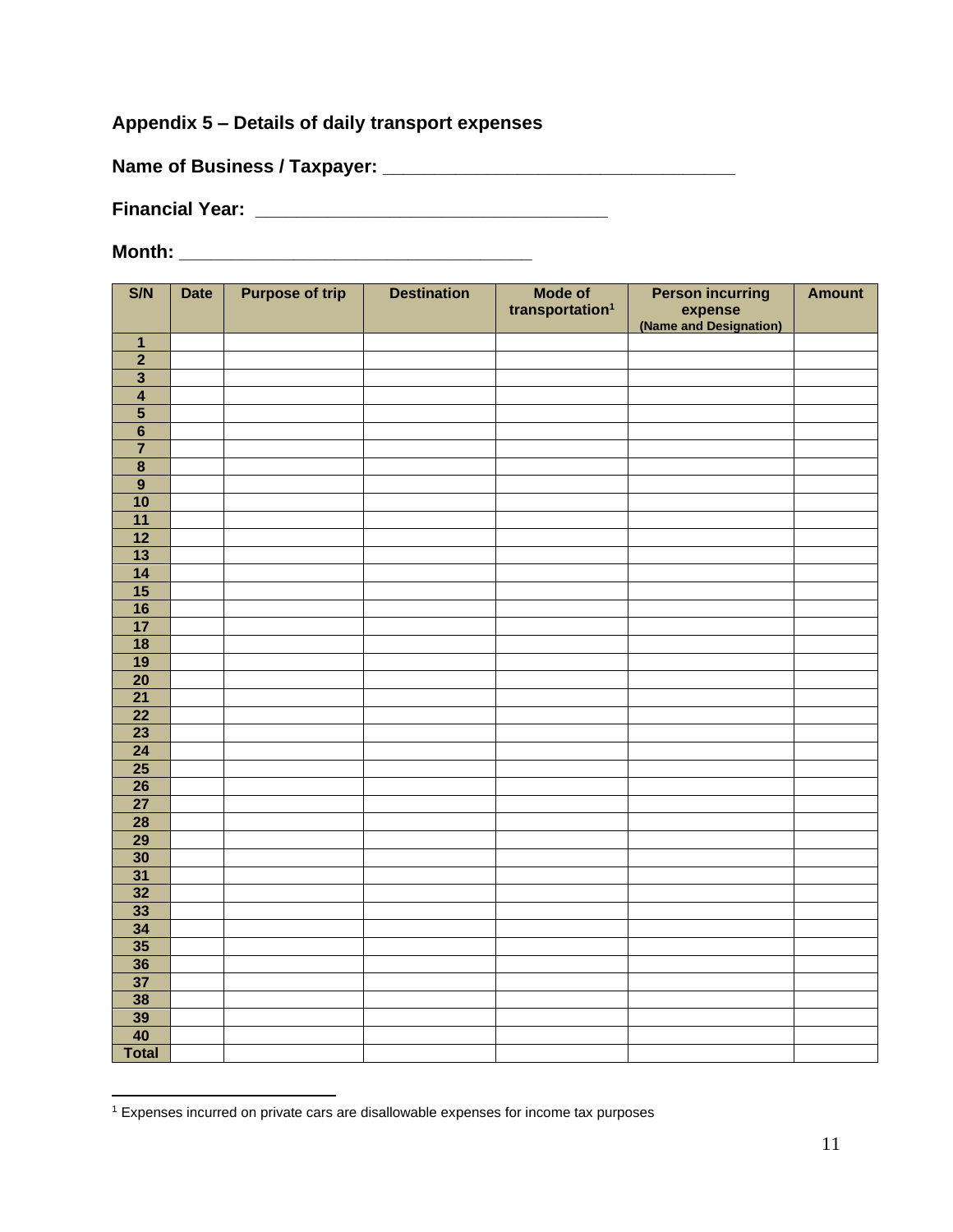#### **Appendix 5 – Details of daily transport expenses**

**Name of Business / Taxpayer: \_\_\_\_\_\_\_\_\_\_\_\_\_\_\_\_\_\_\_\_\_\_\_\_\_\_\_\_\_\_\_\_\_\_**

**Financial Year: \_\_\_\_\_\_\_\_\_\_\_\_\_\_\_\_\_\_\_\_\_\_\_\_\_\_\_\_\_\_\_\_\_\_**

| S/N                                | <b>Date</b> | <b>Purpose of trip</b> | <b>Destination</b> | Mode of                     | <b>Person incurring</b>           | <b>Amount</b> |
|------------------------------------|-------------|------------------------|--------------------|-----------------------------|-----------------------------------|---------------|
|                                    |             |                        |                    | transportation <sup>1</sup> | expense<br>(Name and Designation) |               |
|                                    |             |                        |                    |                             |                                   |               |
| $\mathbf{1}$                       |             |                        |                    |                             |                                   |               |
| $\overline{2}$                     |             |                        |                    |                             |                                   |               |
| $\overline{\mathbf{3}}$            |             |                        |                    |                             |                                   |               |
| $\overline{4}$                     |             |                        |                    |                             |                                   |               |
| $\overline{\mathbf{5}}$            |             |                        |                    |                             |                                   |               |
| $\overline{\mathbf{6}}$            |             |                        |                    |                             |                                   |               |
| $\overline{7}$                     |             |                        |                    |                             |                                   |               |
| $\overline{\mathbf{8}}$            |             |                        |                    |                             |                                   |               |
| $\overline{9}$                     |             |                        |                    |                             |                                   |               |
| $\overline{10}$                    |             |                        |                    |                             |                                   |               |
| 11                                 |             |                        |                    |                             |                                   |               |
| $\overline{12}$                    |             |                        |                    |                             |                                   |               |
| $\overline{13}$                    |             |                        |                    |                             |                                   |               |
| $\overline{14}$                    |             |                        |                    |                             |                                   |               |
| $\overline{15}$                    |             |                        |                    |                             |                                   |               |
| 16                                 |             |                        |                    |                             |                                   |               |
| $\overline{17}$                    |             |                        |                    |                             |                                   |               |
| $\overline{18}$                    |             |                        |                    |                             |                                   |               |
| $\overline{19}$                    |             |                        |                    |                             |                                   |               |
| $\overline{20}$                    |             |                        |                    |                             |                                   |               |
| $\overline{21}$                    |             |                        |                    |                             |                                   |               |
| $\overline{22}$                    |             |                        |                    |                             |                                   |               |
| $\overline{23}$                    |             |                        |                    |                             |                                   |               |
| $\overline{24}$                    |             |                        |                    |                             |                                   |               |
| $\overline{25}$                    |             |                        |                    |                             |                                   |               |
| $\overline{26}$                    |             |                        |                    |                             |                                   |               |
| $\overline{27}$<br>$\overline{28}$ |             |                        |                    |                             |                                   |               |
| $\overline{29}$                    |             |                        |                    |                             |                                   |               |
| $\overline{30}$                    |             |                        |                    |                             |                                   |               |
| $\overline{31}$                    |             |                        |                    |                             |                                   |               |
| $\overline{32}$                    |             |                        |                    |                             |                                   |               |
| 33                                 |             |                        |                    |                             |                                   |               |
| $\overline{34}$                    |             |                        |                    |                             |                                   |               |
| $\overline{35}$                    |             |                        |                    |                             |                                   |               |
| 36                                 |             |                        |                    |                             |                                   |               |
| $\overline{37}$                    |             |                        |                    |                             |                                   |               |
| $\overline{38}$                    |             |                        |                    |                             |                                   |               |
| 39                                 |             |                        |                    |                             |                                   |               |
| 40                                 |             |                        |                    |                             |                                   |               |
| <b>Total</b>                       |             |                        |                    |                             |                                   |               |
|                                    |             |                        |                    |                             |                                   |               |

Expenses incurred on private cars are disallowable expenses for income tax purposes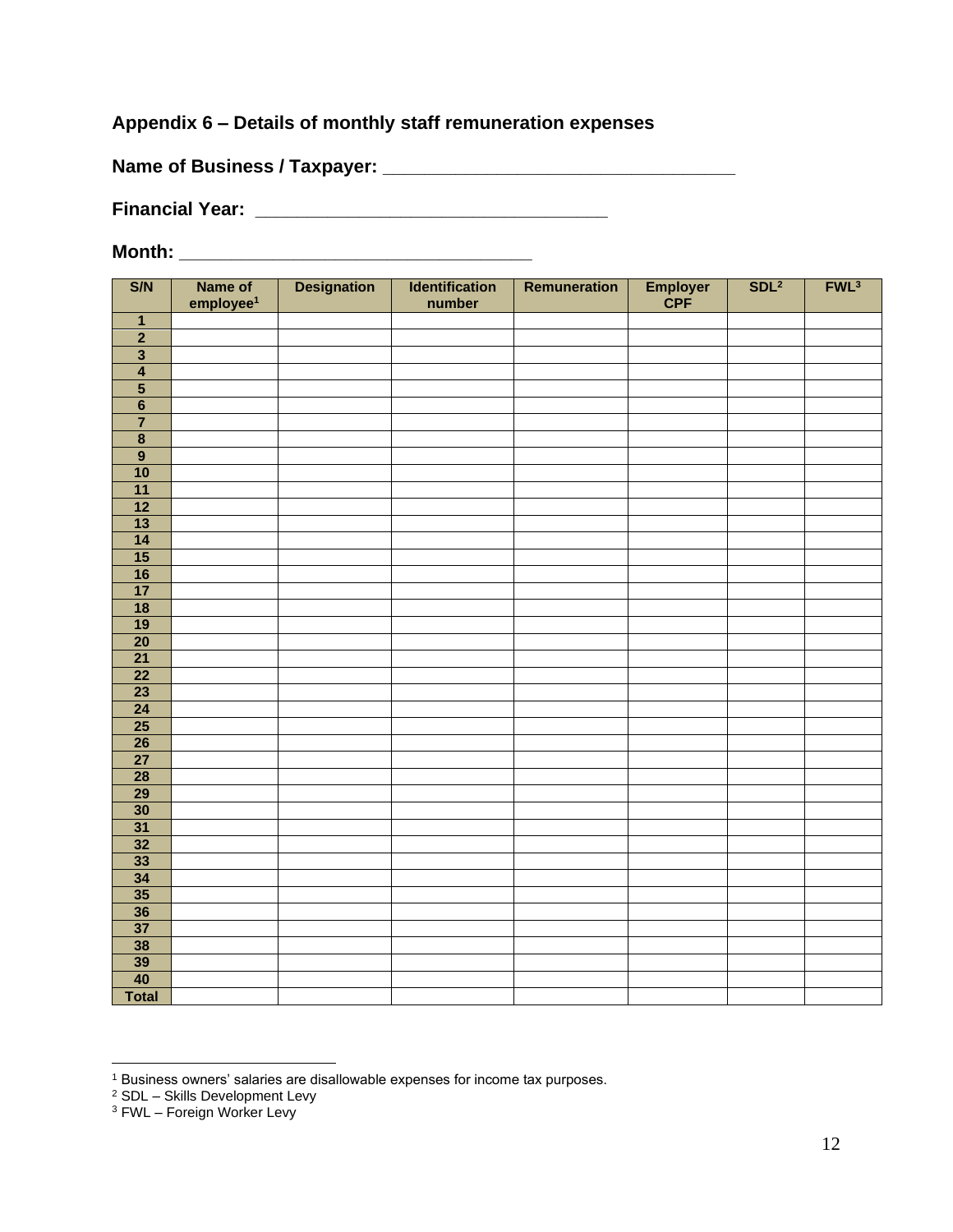#### **Appendix 6 – Details of monthly staff remuneration expenses**

**Name of Business / Taxpayer: \_\_\_\_\_\_\_\_\_\_\_\_\_\_\_\_\_\_\_\_\_\_\_\_\_\_\_\_\_\_\_\_\_\_**

**Financial Year: \_\_\_\_\_\_\_\_\_\_\_\_\_\_\_\_\_\_\_\_\_\_\_\_\_\_\_\_\_\_\_\_\_\_**

| S/N                      | Name of<br>employee <sup>1</sup> | <b>Designation</b> | Identification<br>number | Remuneration | Employer<br>CPF | SDL <sup>2</sup> | FWL <sup>3</sup> |
|--------------------------|----------------------------------|--------------------|--------------------------|--------------|-----------------|------------------|------------------|
| $\overline{1}$           |                                  |                    |                          |              |                 |                  |                  |
| $\overline{2}$           |                                  |                    |                          |              |                 |                  |                  |
| $\overline{\mathbf{3}}$  |                                  |                    |                          |              |                 |                  |                  |
| $\overline{4}$           |                                  |                    |                          |              |                 |                  |                  |
| $\overline{\mathbf{5}}$  |                                  |                    |                          |              |                 |                  |                  |
| $\overline{6}$           |                                  |                    |                          |              |                 |                  |                  |
| $\overline{7}$           |                                  |                    |                          |              |                 |                  |                  |
| $\overline{\mathbf{8}}$  |                                  |                    |                          |              |                 |                  |                  |
| $\overline{9}$           |                                  |                    |                          |              |                 |                  |                  |
| 10                       |                                  |                    |                          |              |                 |                  |                  |
| $\overline{11}$          |                                  |                    |                          |              |                 |                  |                  |
| $\overline{12}$          |                                  |                    |                          |              |                 |                  |                  |
| $\overline{\mathbf{13}}$ |                                  |                    |                          |              |                 |                  |                  |
| $\overline{\mathbf{14}}$ |                                  |                    |                          |              |                 |                  |                  |
| $\overline{15}$          |                                  |                    |                          |              |                 |                  |                  |
| $\overline{16}$          |                                  |                    |                          |              |                 |                  |                  |
| $\overline{17}$          |                                  |                    |                          |              |                 |                  |                  |
| $\overline{\mathbf{18}}$ |                                  |                    |                          |              |                 |                  |                  |
| $\overline{19}$          |                                  |                    |                          |              |                 |                  |                  |
| $\overline{20}$          |                                  |                    |                          |              |                 |                  |                  |
| $\overline{21}$          |                                  |                    |                          |              |                 |                  |                  |
| $\overline{22}$          |                                  |                    |                          |              |                 |                  |                  |
| $\overline{23}$          |                                  |                    |                          |              |                 |                  |                  |
| $\overline{24}$          |                                  |                    |                          |              |                 |                  |                  |
| $\overline{25}$          |                                  |                    |                          |              |                 |                  |                  |
| $\overline{26}$          |                                  |                    |                          |              |                 |                  |                  |
| $\overline{27}$          |                                  |                    |                          |              |                 |                  |                  |
| $\overline{28}$          |                                  |                    |                          |              |                 |                  |                  |
| $\overline{29}$          |                                  |                    |                          |              |                 |                  |                  |
| $\overline{30}$          |                                  |                    |                          |              |                 |                  |                  |
| $\overline{31}$          |                                  |                    |                          |              |                 |                  |                  |
| $\overline{32}$          |                                  |                    |                          |              |                 |                  |                  |
| $\overline{33}$          |                                  |                    |                          |              |                 |                  |                  |
| $\overline{34}$          |                                  |                    |                          |              |                 |                  |                  |
| 35                       |                                  |                    |                          |              |                 |                  |                  |
| 36                       |                                  |                    |                          |              |                 |                  |                  |
| $\overline{37}$          |                                  |                    |                          |              |                 |                  |                  |
| $\overline{38}$          |                                  |                    |                          |              |                 |                  |                  |
| $\frac{39}{40}$          |                                  |                    |                          |              |                 |                  |                  |
|                          |                                  |                    |                          |              |                 |                  |                  |
| <b>Total</b>             |                                  |                    |                          |              |                 |                  |                  |

Business owners' salaries are disallowable expenses for income tax purposes.

<sup>&</sup>lt;sup>2</sup> SDL - Skills Development Levy

<sup>&</sup>lt;sup>3</sup> FWL – Foreign Worker Levy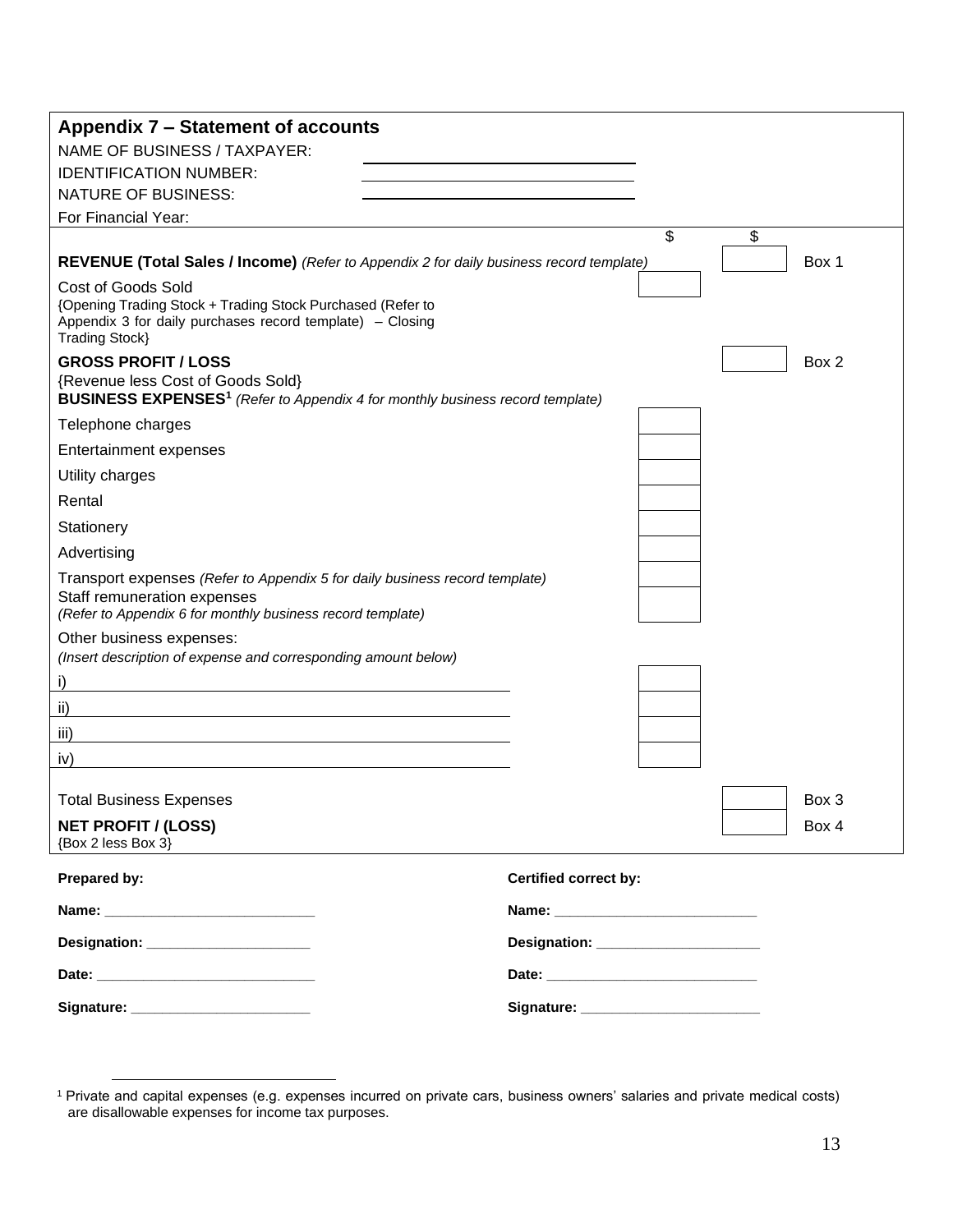| Appendix 7 – Statement of accounts                                                                                                                                                                                             |                                                                                                                                                                                                                                |       |
|--------------------------------------------------------------------------------------------------------------------------------------------------------------------------------------------------------------------------------|--------------------------------------------------------------------------------------------------------------------------------------------------------------------------------------------------------------------------------|-------|
| NAME OF BUSINESS / TAXPAYER:                                                                                                                                                                                                   |                                                                                                                                                                                                                                |       |
| <b>IDENTIFICATION NUMBER:</b>                                                                                                                                                                                                  |                                                                                                                                                                                                                                |       |
| <b>NATURE OF BUSINESS:</b>                                                                                                                                                                                                     |                                                                                                                                                                                                                                |       |
| For Financial Year:                                                                                                                                                                                                            |                                                                                                                                                                                                                                |       |
|                                                                                                                                                                                                                                | \$                                                                                                                                                                                                                             | \$    |
| REVENUE (Total Sales / Income) (Refer to Appendix 2 for daily business record template)                                                                                                                                        |                                                                                                                                                                                                                                | Box 1 |
| <b>Cost of Goods Sold</b><br>{Opening Trading Stock + Trading Stock Purchased (Refer to<br>Appendix 3 for daily purchases record template) – Closing<br><b>Trading Stock</b> }                                                 |                                                                                                                                                                                                                                |       |
| <b>GROSS PROFIT / LOSS</b><br>{Revenue less Cost of Goods Sold}<br><b>BUSINESS EXPENSES<sup>1</sup></b> (Refer to Appendix 4 for monthly business record template)                                                             |                                                                                                                                                                                                                                | Box 2 |
| Telephone charges                                                                                                                                                                                                              |                                                                                                                                                                                                                                |       |
| <b>Entertainment expenses</b>                                                                                                                                                                                                  |                                                                                                                                                                                                                                |       |
| Utility charges                                                                                                                                                                                                                |                                                                                                                                                                                                                                |       |
| Rental                                                                                                                                                                                                                         |                                                                                                                                                                                                                                |       |
| Stationery                                                                                                                                                                                                                     |                                                                                                                                                                                                                                |       |
| Advertising                                                                                                                                                                                                                    |                                                                                                                                                                                                                                |       |
| Transport expenses (Refer to Appendix 5 for daily business record template)<br>Staff remuneration expenses<br>(Refer to Appendix 6 for monthly business record template)                                                       |                                                                                                                                                                                                                                |       |
| Other business expenses:<br>(Insert description of expense and corresponding amount below)                                                                                                                                     |                                                                                                                                                                                                                                |       |
| I)                                                                                                                                                                                                                             |                                                                                                                                                                                                                                |       |
| ii)                                                                                                                                                                                                                            |                                                                                                                                                                                                                                |       |
| iii)                                                                                                                                                                                                                           |                                                                                                                                                                                                                                |       |
| iv)                                                                                                                                                                                                                            |                                                                                                                                                                                                                                |       |
| <b>Total Business Expenses</b>                                                                                                                                                                                                 |                                                                                                                                                                                                                                | Box 3 |
| <b>NET PROFIT / (LOSS)</b><br>{Box 2 less Box 3}                                                                                                                                                                               |                                                                                                                                                                                                                                | Box 4 |
| Prepared by:                                                                                                                                                                                                                   | Certified correct by:                                                                                                                                                                                                          |       |
|                                                                                                                                                                                                                                |                                                                                                                                                                                                                                |       |
| Designation: _______________________                                                                                                                                                                                           |                                                                                                                                                                                                                                |       |
| Date: the contract of the contract of the contract of the contract of the contract of the contract of the contract of the contract of the contract of the contract of the contract of the contract of the contract of the cont | Date: the contract of the contract of the contract of the contract of the contract of the contract of the contract of the contract of the contract of the contract of the contract of the contract of the contract of the cont |       |
| Signature: _________________________                                                                                                                                                                                           |                                                                                                                                                                                                                                |       |

<sup>1</sup> Private and capital expenses (e.g. expenses incurred on private cars, business owners' salaries and private medical costs) are disallowable expenses for income tax purposes.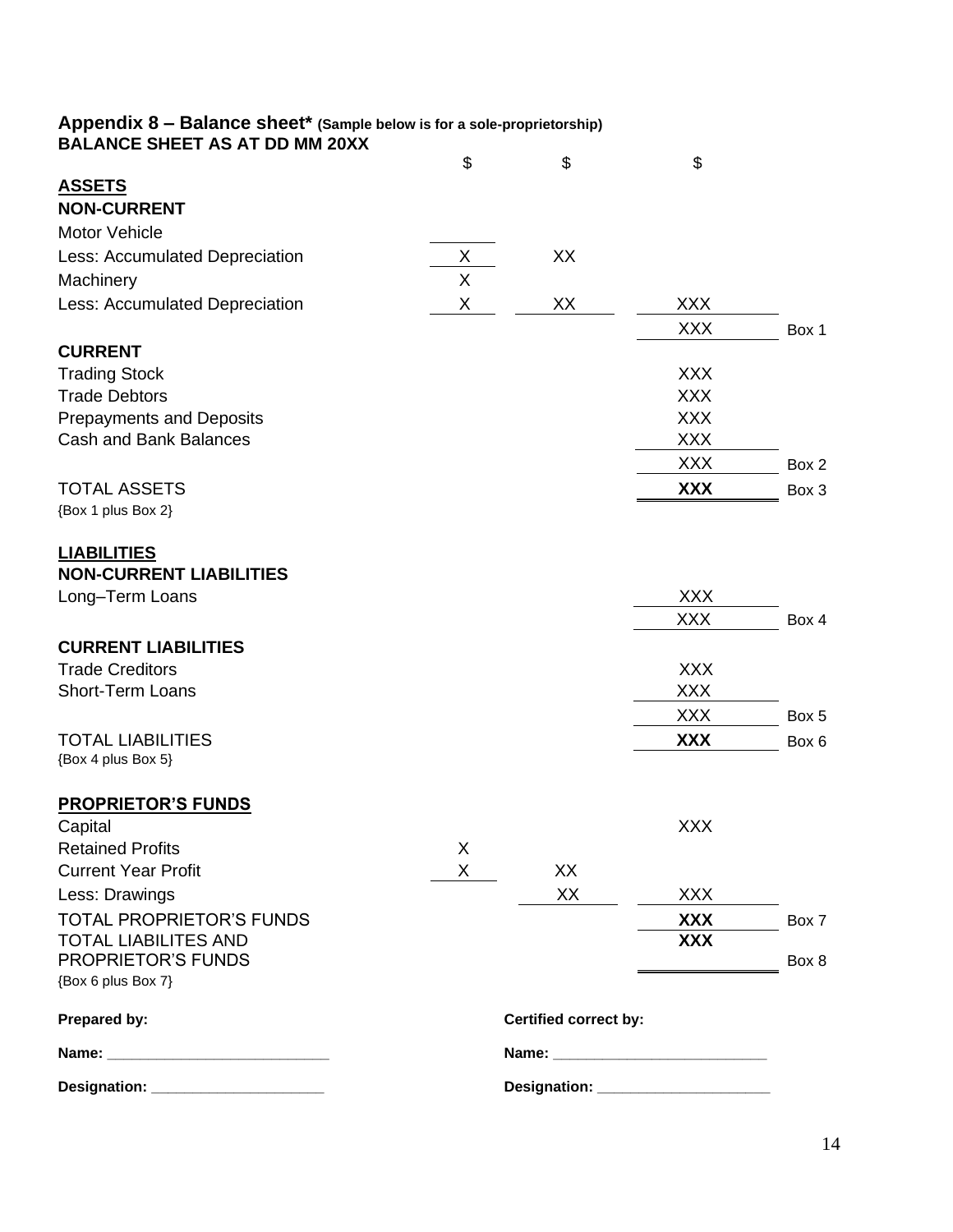#### **Appendix 8 – Balance sheet\* (Sample below is for a sole-proprietorship) BALANCE SHEET AS AT DD MM 20XX**

| BALANCE SHEET AS AT DD MM 20XX                 |    |                                       |                          |       |
|------------------------------------------------|----|---------------------------------------|--------------------------|-------|
|                                                | \$ | \$                                    | \$                       |       |
| <b>ASSETS</b>                                  |    |                                       |                          |       |
| <b>NON-CURRENT</b>                             |    |                                       |                          |       |
| <b>Motor Vehicle</b>                           |    |                                       |                          |       |
| Less: Accumulated Depreciation                 | X  | XX                                    |                          |       |
| Machinery                                      | X  |                                       |                          |       |
| Less: Accumulated Depreciation                 | Χ  | XX                                    | <b>XXX</b>               |       |
|                                                |    |                                       | <b>XXX</b>               | Box 1 |
| <b>CURRENT</b>                                 |    |                                       |                          |       |
| <b>Trading Stock</b>                           |    |                                       | <b>XXX</b>               |       |
| <b>Trade Debtors</b>                           |    |                                       | <b>XXX</b>               |       |
| <b>Prepayments and Deposits</b>                |    |                                       | <b>XXX</b>               |       |
| <b>Cash and Bank Balances</b>                  |    |                                       | <b>XXX</b>               |       |
|                                                |    |                                       | <b>XXX</b>               | Box 2 |
| <b>TOTAL ASSETS</b>                            |    |                                       | <b>XXX</b>               | Box 3 |
| {Box 1 plus Box 2}                             |    |                                       |                          |       |
| <b>LIABILITIES</b>                             |    |                                       |                          |       |
| <b>NON-CURRENT LIABILITIES</b>                 |    |                                       |                          |       |
| Long-Term Loans                                |    |                                       | <b>XXX</b><br><b>XXX</b> |       |
| <b>CURRENT LIABILITIES</b>                     |    |                                       |                          | Box 4 |
| <b>Trade Creditors</b>                         |    |                                       | <b>XXX</b>               |       |
| Short-Term Loans                               |    |                                       | <b>XXX</b>               |       |
|                                                |    |                                       | <b>XXX</b>               | Box 5 |
|                                                |    |                                       |                          |       |
| <b>TOTAL LIABILITIES</b><br>{Box 4 plus Box 5} |    |                                       | <b>XXX</b>               | Box 6 |
| <b>PROPRIETOR'S FUNDS</b>                      |    |                                       |                          |       |
| Capital                                        |    |                                       | <b>XXX</b>               |       |
| <b>Retained Profits</b>                        | Χ  |                                       |                          |       |
| <b>Current Year Profit</b>                     | X  | XX                                    |                          |       |
| Less: Drawings                                 |    | XX                                    | <b>XXX</b>               |       |
| TOTAL PROPRIETOR'S FUNDS                       |    |                                       | XXX                      | Box 7 |
| <b>TOTAL LIABILITES AND</b>                    |    |                                       | <b>XXX</b>               |       |
| <b>PROPRIETOR'S FUNDS</b>                      |    |                                       |                          | Box 8 |
| {Box 6 plus Box 7}                             |    |                                       |                          |       |
| Prepared by:                                   |    | <b>Certified correct by:</b>          |                          |       |
|                                                |    |                                       |                          |       |
| Designation: _______________________           |    | Designation: ________________________ |                          |       |